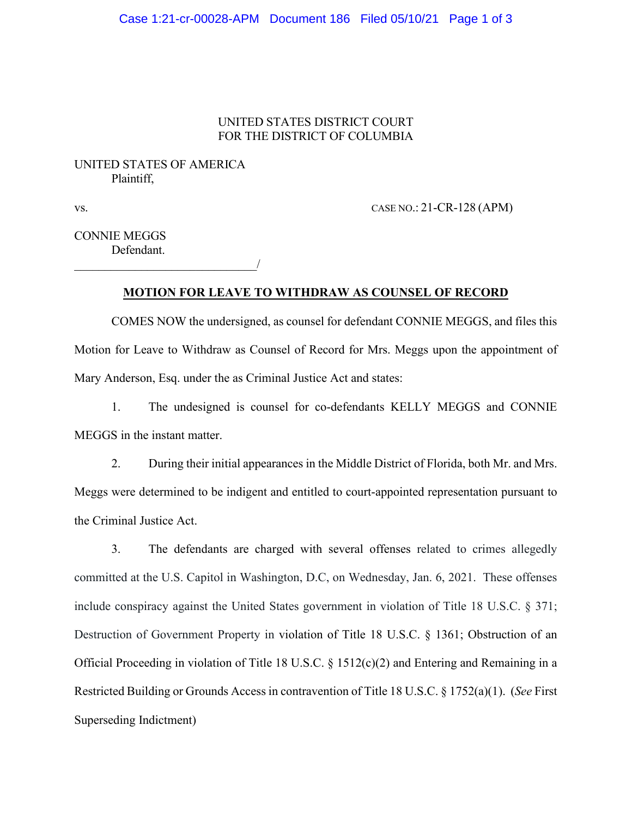#### Case 1:21-cr-00028-APM Document 186 Filed 05/10/21 Page 1 of 3

### UNITED STATES DISTRICT COURT FOR THE DISTRICT OF COLUMBIA

# UNITED STATES OF AMERICA Plaintiff,

\_\_\_\_\_\_\_\_\_\_\_\_\_\_\_\_\_\_\_\_\_\_\_\_\_\_\_\_\_\_/

vs. CASE NO.: 21-CR-128 (APM)

CONNIE MEGGS Defendant.

### **MOTION FOR LEAVE TO WITHDRAW AS COUNSEL OF RECORD**

COMES NOW the undersigned, as counsel for defendant CONNIE MEGGS, and files this Motion for Leave to Withdraw as Counsel of Record for Mrs. Meggs upon the appointment of Mary Anderson, Esq. under the as Criminal Justice Act and states:

1. The undesigned is counsel for co-defendants KELLY MEGGS and CONNIE MEGGS in the instant matter.

2. During their initial appearances in the Middle District of Florida, both Mr. and Mrs. Meggs were determined to be indigent and entitled to court-appointed representation pursuant to the Criminal Justice Act.

3. The defendants are charged with several offenses related to crimes allegedly committed at the U.S. Capitol in Washington, D.C, on Wednesday, Jan. 6, 2021. These offenses include conspiracy against the United States government in violation of Title 18 U.S.C. § 371; Destruction of Government Property in violation of Title 18 U.S.C. § 1361; Obstruction of an Official Proceeding in violation of Title 18 U.S.C. § 1512(c)(2) and Entering and Remaining in a Restricted Building or Grounds Access in contravention of Title 18 U.S.C. § 1752(a)(1). (*See* First Superseding Indictment)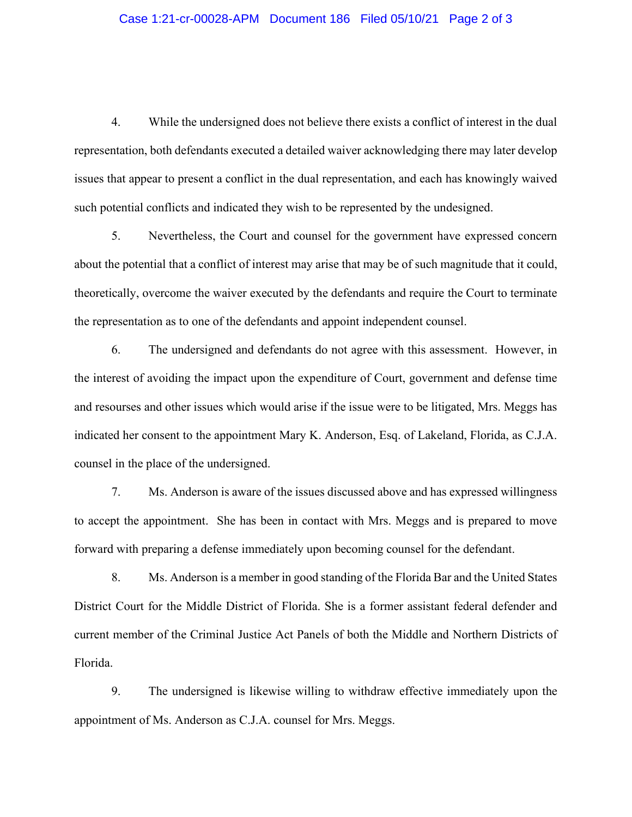### Case 1:21-cr-00028-APM Document 186 Filed 05/10/21 Page 2 of 3

4. While the undersigned does not believe there exists a conflict of interest in the dual representation, both defendants executed a detailed waiver acknowledging there may later develop issues that appear to present a conflict in the dual representation, and each has knowingly waived such potential conflicts and indicated they wish to be represented by the undesigned.

5. Nevertheless, the Court and counsel for the government have expressed concern about the potential that a conflict of interest may arise that may be of such magnitude that it could, theoretically, overcome the waiver executed by the defendants and require the Court to terminate the representation as to one of the defendants and appoint independent counsel.

6. The undersigned and defendants do not agree with this assessment. However, in the interest of avoiding the impact upon the expenditure of Court, government and defense time and resourses and other issues which would arise if the issue were to be litigated, Mrs. Meggs has indicated her consent to the appointment Mary K. Anderson, Esq. of Lakeland, Florida, as C.J.A. counsel in the place of the undersigned.

7. Ms. Anderson is aware of the issues discussed above and has expressed willingness to accept the appointment. She has been in contact with Mrs. Meggs and is prepared to move forward with preparing a defense immediately upon becoming counsel for the defendant.

8. Ms. Anderson is a member in good standing of the Florida Bar and the United States District Court for the Middle District of Florida. She is a former assistant federal defender and current member of the Criminal Justice Act Panels of both the Middle and Northern Districts of Florida.

9. The undersigned is likewise willing to withdraw effective immediately upon the appointment of Ms. Anderson as C.J.A. counsel for Mrs. Meggs.